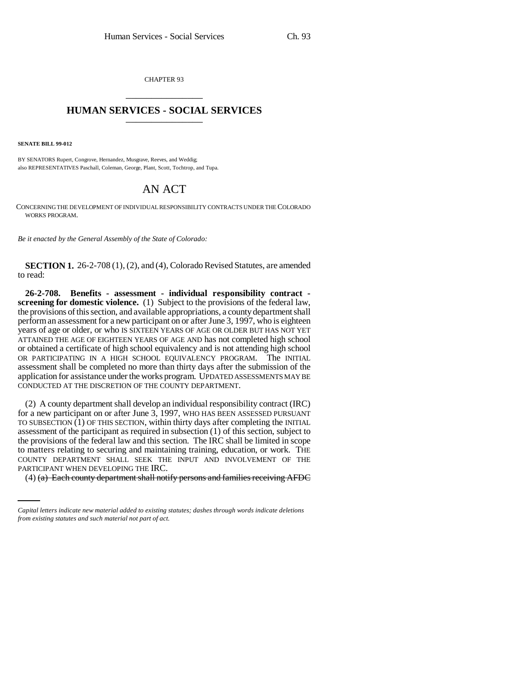CHAPTER 93 \_\_\_\_\_\_\_\_\_\_\_\_\_\_\_

## **HUMAN SERVICES - SOCIAL SERVICES** \_\_\_\_\_\_\_\_\_\_\_\_\_\_\_

**SENATE BILL 99-012** 

BY SENATORS Rupert, Congrove, Hernandez, Musgrave, Reeves, and Weddig; also REPRESENTATIVES Paschall, Coleman, George, Plant, Scott, Tochtrop, and Tupa.

## AN ACT

CONCERNING THE DEVELOPMENT OF INDIVIDUAL RESPONSIBILITY CONTRACTS UNDER THE COLORADO WORKS PROGRAM.

*Be it enacted by the General Assembly of the State of Colorado:*

**SECTION 1.** 26-2-708 (1), (2), and (4), Colorado Revised Statutes, are amended to read:

**26-2-708. Benefits - assessment - individual responsibility contract screening for domestic violence.** (1) Subject to the provisions of the federal law, the provisions of this section, and available appropriations, a county department shall perform an assessment for a new participant on or after June 3, 1997, who is eighteen years of age or older, or who IS SIXTEEN YEARS OF AGE OR OLDER BUT HAS NOT YET ATTAINED THE AGE OF EIGHTEEN YEARS OF AGE AND has not completed high school or obtained a certificate of high school equivalency and is not attending high school OR PARTICIPATING IN A HIGH SCHOOL EQUIVALENCY PROGRAM. The INITIAL assessment shall be completed no more than thirty days after the submission of the application for assistance under the works program. UPDATED ASSESSMENTS MAY BE CONDUCTED AT THE DISCRETION OF THE COUNTY DEPARTMENT.

COUNTY DEPARTMENT SHALL SEEK THE INPUT AND INVOLVEMENT OF THE (2) A county department shall develop an individual responsibility contract (IRC) for a new participant on or after June 3, 1997, WHO HAS BEEN ASSESSED PURSUANT TO SUBSECTION  $(1)$  OF THIS SECTION, within thirty days after completing the INITIAL assessment of the participant as required in subsection (1) of this section, subject to the provisions of the federal law and this section. The IRC shall be limited in scope to matters relating to securing and maintaining training, education, or work. THE PARTICIPANT WHEN DEVELOPING THE IRC.

(4) (a) Each county department shall notify persons and families receiving AFDC

*Capital letters indicate new material added to existing statutes; dashes through words indicate deletions from existing statutes and such material not part of act.*